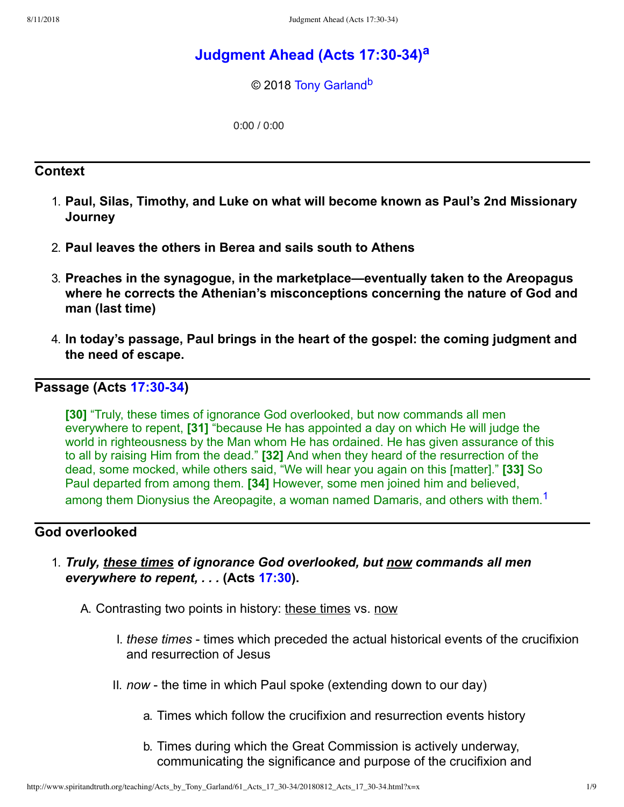# **[Judgment Ahead \(Acts 17:3034\)](http://www.spiritandtruth.org/teaching/Acts_by_Tony_Garland/61_Acts_17_30-34/index.htm)[a](#page-8-0)**

<span id="page-0-2"></span><span id="page-0-1"></span>© 2018 [Tony Garland](http://www.spiritandtruth.org/id/tg.htm)<sup>[b](#page-8-1)</sup>

<span id="page-0-0"></span>0:00 / 0:00

#### **Context**

- 1. **Paul, Silas, Timothy, and Luke on what will become known as Paul's 2nd Missionary Journey**
- 2. **Paul leaves the others in Berea and sails south to Athens**
- 3. **Preaches in the synagogue, in the marketplace—eventually taken to the Areopagus where he corrects the Athenian's misconceptions concerning the nature of God and man (last time)**
- 4. **In today's passage, Paul brings in the heart of the gospel: the coming judgment and the need of escape.**

### **Passage (Acts [17:3034\)](http://www.spiritandtruth.org/bibles/nasb/b44c017.htm#Acts_C17V30)**

**[30]** "Truly, these times of ignorance God overlooked, but now commands all men everywhere to repent, **[31]** "because He has appointed a day on which He will judge the world in righteousness by the Man whom He has ordained. He has given assurance of this to all by raising Him from the dead." **[32]** And when they heard of the resurrection of the dead, some mocked, while others said, "We will hear you again on this [matter]." **[33]** So Paul departed from among them. **[34]** However, some men joined him and believed, among them Dionysius the Areopagite, a woman named Damaris, and others with them.<sup>[1](#page-7-0)</sup>

#### **God overlooked**

- 1. *Truly, these times of ignorance God overlooked, but now commands all men everywhere to repent, . . .* **(Acts [17:30](http://www.spiritandtruth.org/bibles/nasb/b44c017.htm#Acts_C17V30)).**
	- A. Contrasting two points in history: these times vs. now
		- I. *these times* times which preceded the actual historical events of the crucifixion and resurrection of Jesus
		- II. *now* the time in which Paul spoke (extending down to our day)
			- a. Times which follow the crucifixion and resurrection events history
			- b. Times during which the Great Commission is actively underway, communicating the significance and purpose of the crucifixion and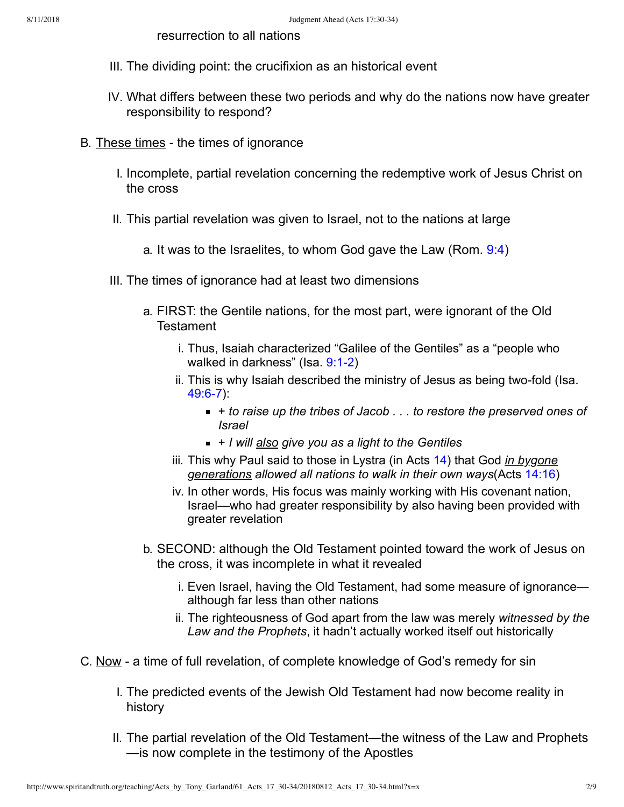resurrection to all nations

- III. The dividing point: the crucifixion as an historical event
- IV. What differs between these two periods and why do the nations now have greater responsibility to respond?
- B. These times the times of ignorance
	- I. Incomplete, partial revelation concerning the redemptive work of Jesus Christ on the cross
	- II. This partial revelation was given to Israel, not to the nations at large
		- a. It was to the Israelites, to whom God gave the Law (Rom. [9:4](http://www.spiritandtruth.org/bibles/nasb/b45c009.htm#Rom._C9V4))
	- III. The times of ignorance had at least two dimensions
		- a. FIRST: the Gentile nations, for the most part, were ignorant of the Old **Testament** 
			- i. Thus, Isaiah characterized "Galilee of the Gentiles" as a "people who walked in darkness" (Isa. 9:1-2)
			- ii. This is why Isaiah described the ministry of Jesus as being two-fold (Isa.  $49:6-7$ ):
				- *+ to raise up the tribes of Jacob . . . to restore the preserved ones of Israel*
				- + *I will also give you as a light to the Gentiles*
			- iii. This why Paul said to those in Lystra (in Acts [14\)](http://www.spiritandtruth.org/bibles/nasb/b44c014.htm#Acts_C14V1) that God *in bygone generations allowed all nations to walk in their own ways*(Acts [14:16](http://www.spiritandtruth.org/bibles/nasb/b44c014.htm#Acts_C14V16))
			- iv. In other words, His focus was mainly working with His covenant nation, Israel—who had greater responsibility by also having been provided with greater revelation
		- b. SECOND: although the Old Testament pointed toward the work of Jesus on the cross, it was incomplete in what it revealed
			- i. Even Israel, having the Old Testament, had some measure of ignorance although far less than other nations
			- ii. The righteousness of God apart from the law was merely *witnessed by the Law and the Prophets*, it hadn't actually worked itself out historically
- C. Now a time of full revelation, of complete knowledge of God's remedy for sin
	- I. The predicted events of the Jewish Old Testament had now become reality in history
	- II. The partial revelation of the Old Testament—the witness of the Law and Prophets —is now complete in the testimony of the Apostles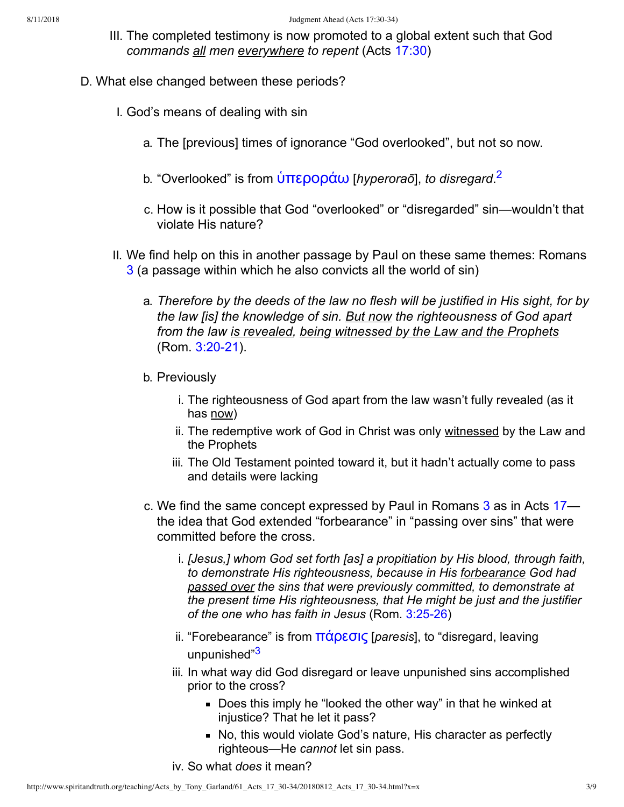- <span id="page-2-0"></span>III. The completed testimony is now promoted to a global extent such that God *commands all men everywhere to repent* (Acts [17:30\)](http://www.spiritandtruth.org/bibles/nasb/b44c017.htm#Acts_C17V30)
- <span id="page-2-1"></span>D. What else changed between these periods?
	- I. God's means of dealing with sin
		- a. The [previous] times of ignorance "God overlooked", but not so now.
		- b. "Overlooked" is from ὑπε<mark>ροράω</mark> [*hyperoraō*], *to disregard.<sup>[2](#page-7-1)</sup>*
		- c. How is it possible that God "overlooked" or "disregarded" sin—wouldn't that violate His nature?
	- II. We find help on this in another passage by Paul on these same themes: Romans [3](http://www.spiritandtruth.org/bibles/nasb/b45c003.htm#Rom._C3V1) (a passage within which he also convicts all the world of sin)
		- a. *Therefore by the deeds of the law no flesh will be justified in His sight, for by the law [is] the knowledge of sin. But now the righteousness of God apart from the law is revealed, being witnessed by the Law and the Prophets* (Rom. 3:20-21).
		- b. Previously
			- i. The righteousness of God apart from the law wasn't fully revealed (as it has now)
			- ii. The redemptive work of God in Christ was only witnessed by the Law and the Prophets
			- iii. The Old Testament pointed toward it, but it hadn't actually come to pass and details were lacking
		- c. We find the same concept expressed by Paul in Romans [3](http://www.spiritandtruth.org/bibles/nasb/b45c003.htm#Rom._C3V1) as in Acts [17](http://www.spiritandtruth.org/bibles/nasb/b44c017.htm#Acts_C17V1) the idea that God extended "forbearance" in "passing over sins" that were committed before the cross.
			- i. *[Jesus,] whom God set forth [as] a propitiation by His blood, through faith, to demonstrate His righteousness, because in His forbearance God had passed over the sins that were previously committed, to demonstrate at the present time His righteousness, that He might be just and the justifier* of the one who has faith in Jesus (Rom. 3:25-26)
			- ii. "Forebearance" is from **πάρεσις** [*paresis*], to "disregard, leaving unpunished"<sup>[3](#page-7-2)</sup>
			- iii. In what way did God disregard or leave unpunished sins accomplished prior to the cross?
				- Does this imply he "looked the other way" in that he winked at injustice? That he let it pass?
				- No, this would violate God's nature, His character as perfectly righteous—He *cannot* let sin pass.
			- iv. So what *does* it mean?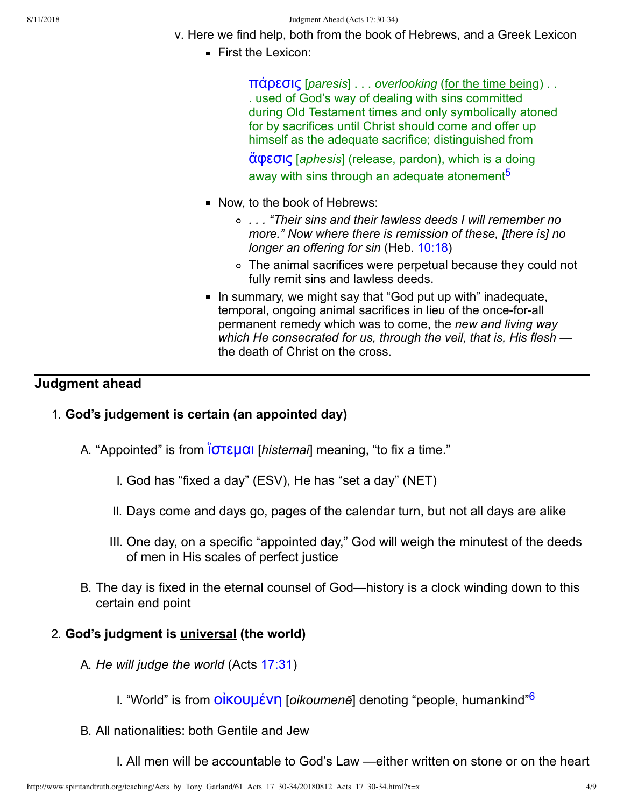- v. Here we find help, both from the book of Hebrews, and a Greek Lexicon
	- **First the Lexicon:**

[˭˙ˮε˰˦˯](http://www.spiritandtruth.org/fontsu/index.htm) [*paresis*] . . . *overlooking* (for the time being) . . . used of God's way of dealing with sins committed during Old Testament times and only symbolically atoned for by sacrifices until Christ should come and offer up himself as the adequate sacrifice; distinguished from

<span id="page-3-0"></span>[ἄ˳ε˰˦˯](http://www.spiritandtruth.org/fontsu/index.htm) [*aphesis*] (release, pardon), which is a doing away with sins through an adequate atonement<sup>[5](#page-7-3)</sup>

- Now, to the book of Hebrews:
	- *. . . "Their sins and their lawless deeds I will remember no more." Now where there is remission of these, [there is] no longer an offering for sin* (Heb. [10:18\)](http://www.spiritandtruth.org/bibles/nasb/b58c010.htm#Heb._C10V18)
	- The animal sacrifices were perpetual because they could not fully remit sins and lawless deeds.
- In summary, we might say that "God put up with" inadequate, temporal, ongoing animal sacrifices in lieu of the once-for-all permanent remedy which was to come, the *new and living way which He consecrated for us, through the veil, that is, His flesh* the death of Christ on the cross.

# **Judgment ahead**

## 1. **God's judgement is certain (an appointed day)**

- A. "Appointed" is from <u>Ιστεμαι</u> [*histemai*] meaning, "to fix a time."
	- I. God has "fixed a day" (ESV), He has "set a day" (NET)
	- II. Days come and days go, pages of the calendar turn, but not all days are alike
	- III. One day, on a specific "appointed day," God will weigh the minutest of the deeds of men in His scales of perfect justice
- B. The day is fixed in the eternal counsel of God—history is a clock winding down to this certain end point

## 2. **God's judgment is universal (the world)**

- A. *He will judge the world* (Acts [17:31\)](http://www.spiritandtruth.org/bibles/nasb/b44c017.htm#Acts_C17V31)
	- I. "World" is from *OIKOUUEVN* [*oikoumenē*] denoting "people, humankind"<sup>[6](#page-7-4)</sup>
- B. All nationalities: both Gentile and Jew

<span id="page-3-1"></span>I. All men will be accountable to God's Law —either written on stone or on the heart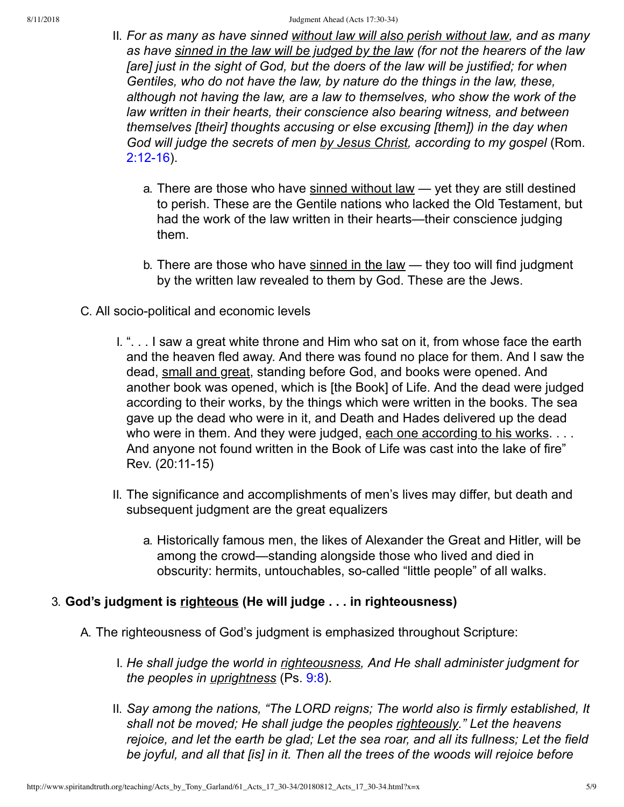- II. *For as many as have sinned without law will also perish without law, and as many as have sinned in the law will be judged by the law (for not the hearers of the law [are] just in the sight of God, but the doers of the law will be justified; for when Gentiles, who do not have the law, by nature do the things in the law, these, although not having the law, are a law to themselves, who show the work of the law written in their hearts, their conscience also bearing witness, and between themselves [their] thoughts accusing or else excusing [them]) in the day when God will judge the secrets of men by Jesus Christ, according to my gospel* (Rom.  $2:12-16$ ).
	- a. There are those who have sinned without law yet they are still destined to perish. These are the Gentile nations who lacked the Old Testament, but had the work of the law written in their hearts—their conscience judging them.
	- b. There are those who have sinned in the law they too will find judgment by the written law revealed to them by God. These are the Jews.
- C. All socio-political and economic levels
	- I. ". . . I saw a great white throne and Him who sat on it, from whose face the earth and the heaven fled away. And there was found no place for them. And I saw the dead, small and great, standing before God, and books were opened. And another book was opened, which is [the Book] of Life. And the dead were judged according to their works, by the things which were written in the books. The sea gave up the dead who were in it, and Death and Hades delivered up the dead who were in them. And they were judged, each one according to his works. . . . And anyone not found written in the Book of Life was cast into the lake of fire" Rev. (20:11-15)
	- II. The significance and accomplishments of men's lives may differ, but death and subsequent judgment are the great equalizers
		- a. Historically famous men, the likes of Alexander the Great and Hitler, will be among the crowd—standing alongside those who lived and died in obscurity: hermits, untouchables, so-called "little people" of all walks.

## 3. **God's judgment is righteous (He will judge . . . in righteousness)**

- A. The righteousness of God's judgment is emphasized throughout Scripture:
	- I. *He shall judge the world in righteousness, And He shall administer judgment for the peoples in uprightness* (Ps. [9:8\)](http://www.spiritandtruth.org/bibles/nasb/b19c009.htm#Ps._C9V8).
	- II. *Say among the nations, "The LORD reigns; The world also is firmly established, It shall not be moved; He shall judge the peoples righteously." Let the heavens rejoice, and let the earth be glad; Let the sea roar, and all its fullness; Let the field be joyful, and all that [is] in it. Then all the trees of the woods will rejoice before*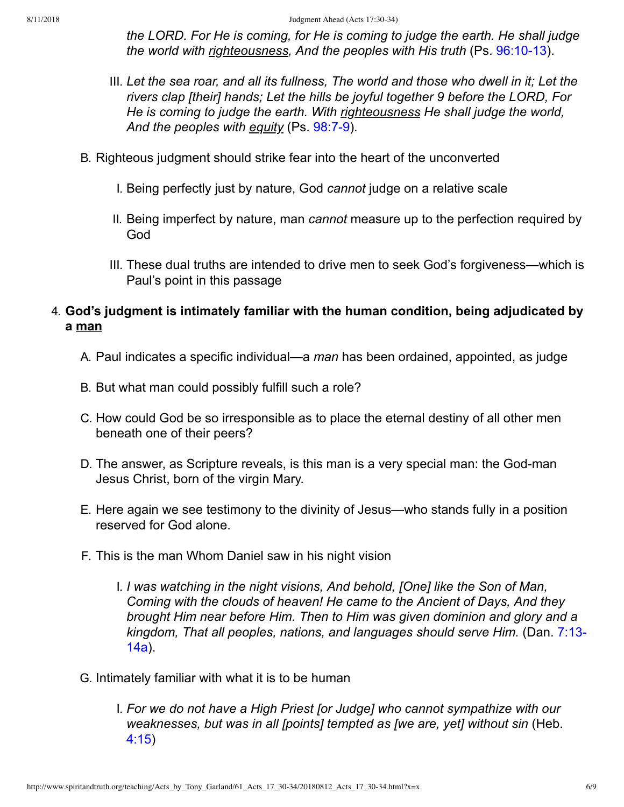*the LORD. For He is coming, for He is coming to judge the earth. He shall judge the world with righteousness, And the peoples with His truth* (Ps. 96:10-13).

- III. *Let the sea roar, and all its fullness, The world and those who dwell in it; Let the rivers clap [their] hands; Let the hills be joyful together 9 before the LORD, For He is coming to judge the earth. With righteousness He shall judge the world,* And the peoples with equity (Ps. 98:7-9).
- B. Righteous judgment should strike fear into the heart of the unconverted
	- I. Being perfectly just by nature, God *cannot* judge on a relative scale
	- II. Being imperfect by nature, man *cannot* measure up to the perfection required by God
	- III. These dual truths are intended to drive men to seek God's forgiveness—which is Paul's point in this passage

### 4. **God's judgment is intimately familiar with the human condition, being adjudicated by a man**

- A. Paul indicates a specific individual—a *man* has been ordained, appointed, as judge
- B. But what man could possibly fulfill such a role?
- C. How could God be so irresponsible as to place the eternal destiny of all other men beneath one of their peers?
- D. The answer, as Scripture reveals, is this man is a very special man: the God-man Jesus Christ, born of the virgin Mary.
- E. Here again we see testimony to the divinity of Jesus—who stands fully in a position reserved for God alone.
- F. This is the man Whom Daniel saw in his night vision
	- I. *I was watching in the night visions, And behold, [One] like the Son of Man, Coming with the clouds of heaven! He came to the Ancient of Days, And they brought Him near before Him. Then to Him was given dominion and glory and a [kingdom, That all peoples, nations, and languages should serve Him.](http://www.spiritandtruth.org/bibles/nasb/b27c007.htm#Dan._C7V13)* (Dan. 7:13 14a).
- G. Intimately familiar with what it is to be human
	- I. *For we do not have a High Priest [or Judge] who cannot sympathize with our weaknesses, but was in all [points] tempted as [we are, yet] without sin* (Heb. [4:15\)](http://www.spiritandtruth.org/bibles/nasb/b58c004.htm#Heb._C4V15)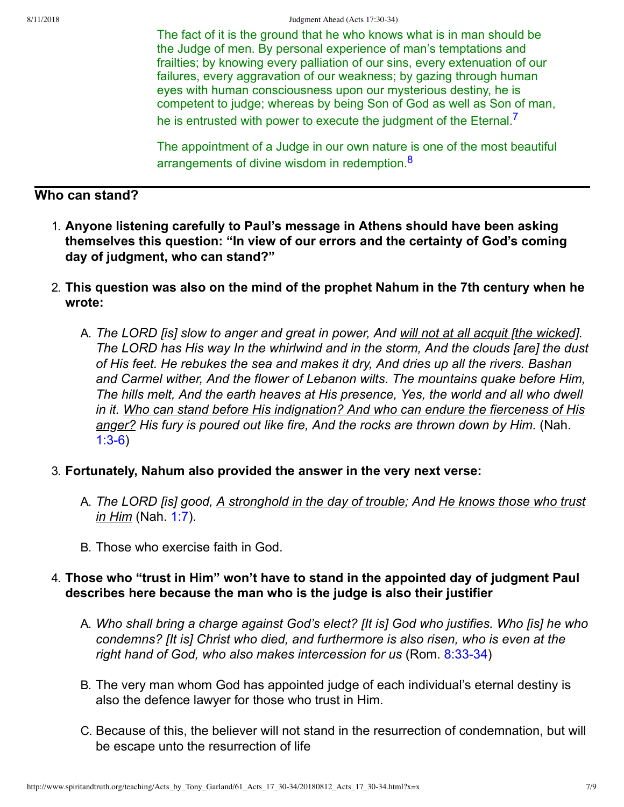The fact of it is the ground that he who knows what is in man should be the Judge of men. By personal experience of man's temptations and frailties; by knowing every palliation of our sins, every extenuation of our failures, every aggravation of our weakness; by gazing through human eyes with human consciousness upon our mysterious destiny, he is competent to judge; whereas by being Son of God as well as Son of man, he is entrusted with power to execute the judgment of the Eternal.<sup>[7](#page-7-5)</sup>

<span id="page-6-1"></span><span id="page-6-0"></span>The appointment of a Judge in our own nature is one of the most beautiful arrangements of divine wisdom in redemption.<sup>[8](#page-7-6)</sup>

## **Who can stand?**

- 1. **Anyone listening carefully to Paul's message in Athens should have been asking themselves this question: "In view of our errors and the certainty of God's coming day of judgment, who can stand?"**
- 2. **This question was also on the mind of the prophet Nahum in the 7th century when he wrote:**
	- A. *The LORD [is] slow to anger and great in power, And will not at all acquit [the wicked]. The LORD has His way In the whirlwind and in the storm, And the clouds [are] the dust of His feet. He rebukes the sea and makes it dry, And dries up all the rivers. Bashan and Carmel wither, And the flower of Lebanon wilts. The mountains quake before Him, The hills melt, And the earth heaves at His presence, Yes, the world and all who dwell in it. Who can stand before His indignation? And who can endure the fierceness of His anger? His fury is poured out like fire, And the rocks are thrown down by Him.* (Nah.  $1:3-6$ )
- 3. **Fortunately, Nahum also provided the answer in the very next verse:**
	- A. *The LORD [is] good, A stronghold in the day of trouble; And He knows those who trust in Him* (Nah. [1:7](http://www.spiritandtruth.org/bibles/nasb/b34c001.htm#Nah._C1V7)).
	- B. Those who exercise faith in God.

#### 4. **Those who "trust in Him" won't have to stand in the appointed day of judgment Paul describes here because the man who is the judge is also their justifier**

- A. *Who shall bring a charge against God's elect? [It is] God who justifies. Who [is] he who condemns? [It is] Christ who died, and furthermore is also risen, who is even at the* right hand of God, who also makes intercession for us (Rom. 8:33-34)
- B. The very man whom God has appointed judge of each individual's eternal destiny is also the defence lawyer for those who trust in Him.
- C. Because of this, the believer will not stand in the resurrection of condemnation, but will be escape unto the resurrection of life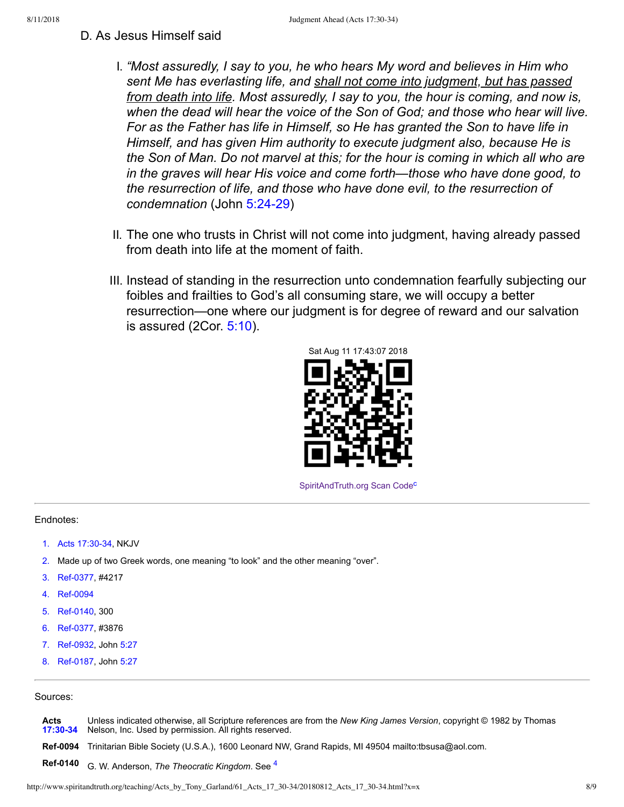- D. As Jesus Himself said
	- I. *"Most assuredly, I say to you, he who hears My word and believes in Him who sent Me has everlasting life, and shall not come into judgment, but has passed from death into life. Most assuredly, I say to you, the hour is coming, and now is, when the dead will hear the voice of the Son of God; and those who hear will live. For as the Father has life in Himself, so He has granted the Son to have life in Himself, and has given Him authority to execute judgment also, because He is the Son of Man. Do not marvel at this; for the hour is coming in which all who are in the graves will hear His voice and come forth—those who have done good, to the resurrection of life, and those who have done evil, to the resurrection of* condemnation (John 5:24-29)
	- II. The one who trusts in Christ will not come into judgment, having already passed from death into life at the moment of faith.
	- III. Instead of standing in the resurrection unto condemnation fearfully subjecting our foibles and frailties to God's all consuming stare, we will occupy a better resurrection—one where our judgment is for degree of reward and our salvation is assured (2Cor. [5:10](http://www.spiritandtruth.org/bibles/nasb/b47c005.htm#2Cor._C5V10)).



<span id="page-7-12"></span>[SpiritAndTruth.org Scan Code](http://www.spiritandtruth.org/)<sup>[c](#page-8-2)</sup>

#### Endnotes:

- <span id="page-7-0"></span>[1.](#page-0-0) Acts 17:30-34, NKJV
- <span id="page-7-1"></span>[2.](#page-2-0) Made up of two Greek words, one meaning "to look" and the other meaning "over".
- <span id="page-7-2"></span>[3.](#page-2-1) Ref-0377, #4217
- <span id="page-7-11"></span>[4.](#page-7-7) Ref-0094
- <span id="page-7-3"></span>[5.](#page-3-0) Ref-0140, 300
- <span id="page-7-4"></span>[6.](#page-3-1) Ref-0377, #3876
- <span id="page-7-5"></span>[7.](#page-6-0) Ref-0932, John [5:27](http://www.spiritandtruth.org/bibles/nasb/b43c005.htm#John_C5V27)
- <span id="page-7-6"></span>[8.](#page-6-1) Ref-0187, John [5:27](http://www.spiritandtruth.org/bibles/nasb/b43c005.htm#John_C5V27)

#### Sources:

<span id="page-7-10"></span><span id="page-7-9"></span><span id="page-7-8"></span><span id="page-7-7"></span>**Acts [17:3034](http://www.spiritandtruth.org/bibles/nasb/b44c017.htm#Acts_C17V30)** Unless indicated otherwise, all Scripture references are from the *New King James Version*, copyright © 1982 by Thomas Nelson, Inc. Used by permission. All rights reserved. Ref-0094 Trinitarian Bible Society (U.S.A.), 1600 Leonard NW, Grand Rapids, MI 49504 mailto:tbsusa@aol.com. **Ref-01[4](#page-7-11)0** G. W. Anderson, *The Theocratic Kingdom*. See 4